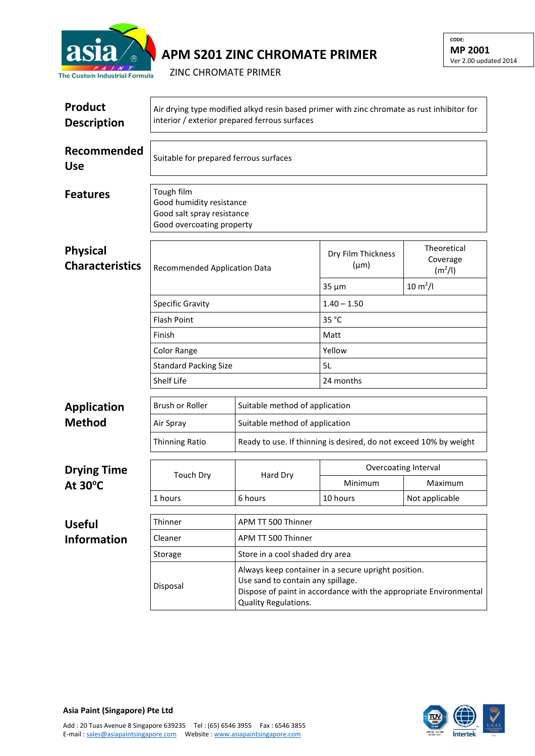

## **APM S201 ZINC CHROMATE PRIMER**

ZINC CHROMATE PRIMER

| <b>Product</b><br><b>Description</b>      | Air drying type modified alkyd resin based primer with zinc chromate as rust inhibitor for<br>interior / exterior prepared ferrous surfaces |                                                                                                                                                                                              |                                 |                                                |  |  |
|-------------------------------------------|---------------------------------------------------------------------------------------------------------------------------------------------|----------------------------------------------------------------------------------------------------------------------------------------------------------------------------------------------|---------------------------------|------------------------------------------------|--|--|
| Recommended<br><b>Use</b>                 | Suitable for prepared ferrous surfaces                                                                                                      |                                                                                                                                                                                              |                                 |                                                |  |  |
| <b>Features</b>                           | Tough film<br>Good humidity resistance<br>Good salt spray resistance<br>Good overcoating property                                           |                                                                                                                                                                                              |                                 |                                                |  |  |
| <b>Physical</b><br><b>Characteristics</b> | Recommended Application Data                                                                                                                |                                                                                                                                                                                              | Dry Film Thickness<br>$(\mu m)$ | Theoretical<br>Coverage<br>(m <sup>2</sup> /I) |  |  |
|                                           |                                                                                                                                             |                                                                                                                                                                                              | $35 \mu m$                      | $10 \, \text{m}^2$ /l                          |  |  |
|                                           | <b>Specific Gravity</b>                                                                                                                     |                                                                                                                                                                                              | $1.40 - 1.50$                   |                                                |  |  |
|                                           | <b>Flash Point</b><br>Finish<br>Color Range<br><b>Standard Packing Size</b>                                                                 |                                                                                                                                                                                              | 35 °C                           |                                                |  |  |
|                                           |                                                                                                                                             |                                                                                                                                                                                              | Matt                            |                                                |  |  |
|                                           |                                                                                                                                             |                                                                                                                                                                                              | Yellow                          |                                                |  |  |
|                                           |                                                                                                                                             |                                                                                                                                                                                              | 5L                              |                                                |  |  |
|                                           | <b>Shelf Life</b>                                                                                                                           |                                                                                                                                                                                              |                                 | 24 months                                      |  |  |
| <b>Application</b>                        | <b>Brush or Roller</b>                                                                                                                      | Suitable method of application                                                                                                                                                               |                                 |                                                |  |  |
| <b>Method</b>                             | Air Spray                                                                                                                                   | Suitable method of application                                                                                                                                                               |                                 |                                                |  |  |
|                                           | <b>Thinning Ratio</b>                                                                                                                       | Ready to use. If thinning is desired, do not exceed 10% by weight                                                                                                                            |                                 |                                                |  |  |
| <b>Drying Time</b><br>At 30°C             | <b>Touch Dry</b>                                                                                                                            | Hard Dry                                                                                                                                                                                     | Overcoating Interval            |                                                |  |  |
|                                           |                                                                                                                                             |                                                                                                                                                                                              | Minimum                         | Maximum                                        |  |  |
|                                           | 1 hours                                                                                                                                     | 6 hours                                                                                                                                                                                      | 10 hours                        | Not applicable                                 |  |  |
| <b>Useful</b>                             | APM TT 500 Thinner<br>Thinner                                                                                                               |                                                                                                                                                                                              |                                 |                                                |  |  |
| <b>Information</b>                        | Cleaner                                                                                                                                     | APM TT 500 Thinner                                                                                                                                                                           |                                 |                                                |  |  |
|                                           | Storage                                                                                                                                     | Store in a cool shaded dry area                                                                                                                                                              |                                 |                                                |  |  |
|                                           | Disposal                                                                                                                                    | Always keep container in a secure upright position.<br>Use sand to contain any spillage.<br>Dispose of paint in accordance with the appropriate Environmental<br><b>Quality Regulations.</b> |                                 |                                                |  |  |